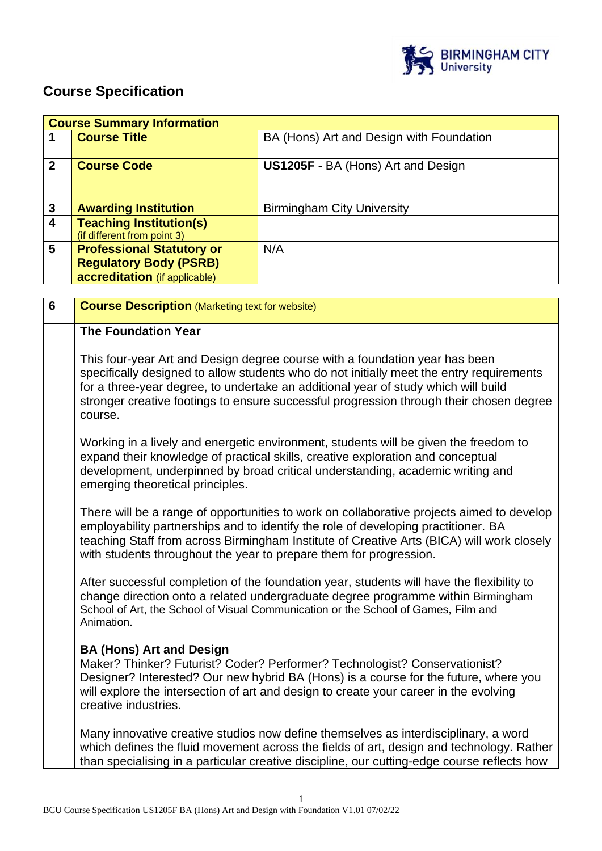

# **Course Specification**

|                         | <b>Course Summary Information</b>                                                                  |                                           |  |
|-------------------------|----------------------------------------------------------------------------------------------------|-------------------------------------------|--|
|                         | <b>Course Title</b>                                                                                | BA (Hons) Art and Design with Foundation  |  |
| $\mathbf{2}$            | <b>Course Code</b>                                                                                 | <b>US1205F - BA (Hons) Art and Design</b> |  |
| $\mathbf{3}$            | <b>Awarding Institution</b>                                                                        | <b>Birmingham City University</b>         |  |
| $\overline{\mathbf{4}}$ | <b>Teaching Institution(s)</b><br>(if different from point 3)                                      |                                           |  |
| 5                       | <b>Professional Statutory or</b><br><b>Regulatory Body (PSRB)</b><br>accreditation (if applicable) | N/A                                       |  |

| $6\phantom{1}6$ | <b>Course Description (Marketing text for website)</b>                                                                                                                                                                                                                                                                                                              |
|-----------------|---------------------------------------------------------------------------------------------------------------------------------------------------------------------------------------------------------------------------------------------------------------------------------------------------------------------------------------------------------------------|
|                 | <b>The Foundation Year</b>                                                                                                                                                                                                                                                                                                                                          |
|                 | This four-year Art and Design degree course with a foundation year has been<br>specifically designed to allow students who do not initially meet the entry requirements<br>for a three-year degree, to undertake an additional year of study which will build<br>stronger creative footings to ensure successful progression through their chosen degree<br>course. |
|                 | Working in a lively and energetic environment, students will be given the freedom to<br>expand their knowledge of practical skills, creative exploration and conceptual<br>development, underpinned by broad critical understanding, academic writing and<br>emerging theoretical principles.                                                                       |
|                 | There will be a range of opportunities to work on collaborative projects aimed to develop<br>employability partnerships and to identify the role of developing practitioner. BA<br>teaching Staff from across Birmingham Institute of Creative Arts (BICA) will work closely<br>with students throughout the year to prepare them for progression.                  |
|                 | After successful completion of the foundation year, students will have the flexibility to<br>change direction onto a related undergraduate degree programme within Birmingham<br>School of Art, the School of Visual Communication or the School of Games, Film and<br>Animation.                                                                                   |
|                 | <b>BA (Hons) Art and Design</b><br>Maker? Thinker? Futurist? Coder? Performer? Technologist? Conservationist?<br>Designer? Interested? Our new hybrid BA (Hons) is a course for the future, where you<br>will explore the intersection of art and design to create your career in the evolving<br>creative industries.                                              |
|                 | Many innovative creative studios now define themselves as interdisciplinary, a word<br>which defines the fluid movement across the fields of art, design and technology. Rather<br>than specialising in a particular creative discipline, our cutting-edge course reflects how                                                                                      |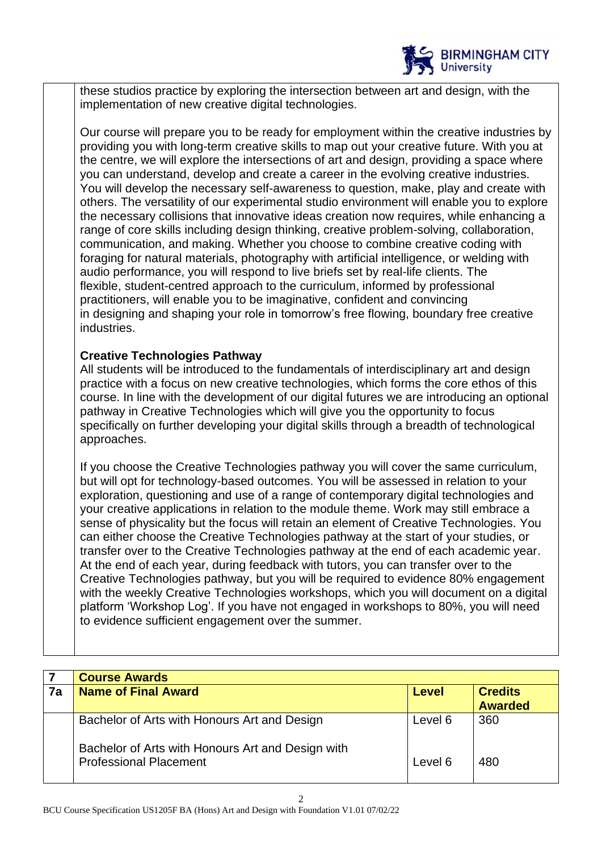

these studios practice by exploring the intersection between art and design, with the implementation of new creative digital technologies.

Our course will prepare you to be ready for employment within the creative industries by providing you with long-term creative skills to map out your creative future. With you at the centre, we will explore the intersections of art and design, providing a space where you can understand, develop and create a career in the evolving creative industries. You will develop the necessary self-awareness to question, make, play and create with others. The versatility of our experimental studio environment will enable you to explore the necessary collisions that innovative ideas creation now requires, while enhancing a range of core skills including design thinking, creative problem-solving, collaboration, communication, and making. Whether you choose to combine creative coding with foraging for natural materials, photography with artificial intelligence, or welding with audio performance, you will respond to live briefs set by real-life clients. The flexible, student-centred approach to the curriculum, informed by professional practitioners, will enable you to be imaginative, confident and convincing in designing and shaping your role in tomorrow's free flowing, boundary free creative industries.

## **Creative Technologies Pathway**

All students will be introduced to the fundamentals of interdisciplinary art and design practice with a focus on new creative technologies, which forms the core ethos of this course. In line with the development of our digital futures we are introducing an optional pathway in Creative Technologies which will give you the opportunity to focus specifically on further developing your digital skills through a breadth of technological approaches.

If you choose the Creative Technologies pathway you will cover the same curriculum, but will opt for technology-based outcomes. You will be assessed in relation to your exploration, questioning and use of a range of contemporary digital technologies and your creative applications in relation to the module theme. Work may still embrace a sense of physicality but the focus will retain an element of Creative Technologies. You can either choose the Creative Technologies pathway at the start of your studies, or transfer over to the Creative Technologies pathway at the end of each academic year. At the end of each year, during feedback with tutors, you can transfer over to the Creative Technologies pathway, but you will be required to evidence 80% engagement with the weekly Creative Technologies workshops, which you will document on a digital platform 'Workshop Log'. If you have not engaged in workshops to 80%, you will need to evidence sufficient engagement over the summer.

|    | <b>Course Awards</b>                                                               |         |                                  |
|----|------------------------------------------------------------------------------------|---------|----------------------------------|
| 7a | <b>Name of Final Award</b><br><b>Level</b>                                         |         | <b>Credits</b><br><b>Awarded</b> |
|    | Bachelor of Arts with Honours Art and Design                                       | Level 6 | 360                              |
|    | Bachelor of Arts with Honours Art and Design with<br><b>Professional Placement</b> | Level 6 | 480                              |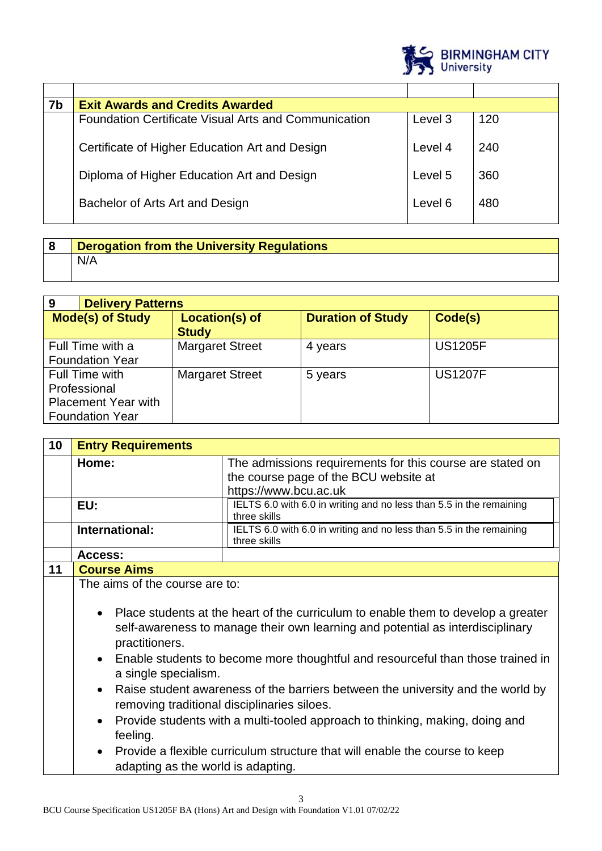

| 7b | <b>Exit Awards and Credits Awarded</b>                      |         |     |
|----|-------------------------------------------------------------|---------|-----|
|    | <b>Foundation Certificate Visual Arts and Communication</b> | Level 3 | 120 |
|    | Certificate of Higher Education Art and Design              | Level 4 | 240 |
|    | Diploma of Higher Education Art and Design                  | Level 5 | 360 |
|    | Bachelor of Arts Art and Design                             | Level 6 | 480 |

| Derogation from the University Regulations |
|--------------------------------------------|
| I N/A                                      |

| 9                                                                                      | <b>Delivery Patterns</b>                   |                                |                          |                |
|----------------------------------------------------------------------------------------|--------------------------------------------|--------------------------------|--------------------------|----------------|
| <b>Mode(s) of Study</b>                                                                |                                            | Location(s) of<br><b>Study</b> | <b>Duration of Study</b> | Code(s)        |
|                                                                                        | Full Time with a<br><b>Foundation Year</b> | <b>Margaret Street</b>         | 4 years                  | <b>US1205F</b> |
| Full Time with<br>Professional<br><b>Placement Year with</b><br><b>Foundation Year</b> |                                            | <b>Margaret Street</b>         | 5 years                  | <b>US1207F</b> |

| 10 | <b>Entry Requirements</b>                                                                                                                                                                                                                                                                                                                                                                                                                                                                                                                                                                                                                                                                                       |                                                                                     |
|----|-----------------------------------------------------------------------------------------------------------------------------------------------------------------------------------------------------------------------------------------------------------------------------------------------------------------------------------------------------------------------------------------------------------------------------------------------------------------------------------------------------------------------------------------------------------------------------------------------------------------------------------------------------------------------------------------------------------------|-------------------------------------------------------------------------------------|
|    | Home:                                                                                                                                                                                                                                                                                                                                                                                                                                                                                                                                                                                                                                                                                                           | The admissions requirements for this course are stated on                           |
|    |                                                                                                                                                                                                                                                                                                                                                                                                                                                                                                                                                                                                                                                                                                                 | the course page of the BCU website at                                               |
|    |                                                                                                                                                                                                                                                                                                                                                                                                                                                                                                                                                                                                                                                                                                                 | https://www.bcu.ac.uk                                                               |
|    | EU:                                                                                                                                                                                                                                                                                                                                                                                                                                                                                                                                                                                                                                                                                                             | IELTS 6.0 with 6.0 in writing and no less than 5.5 in the remaining<br>three skills |
|    | International:                                                                                                                                                                                                                                                                                                                                                                                                                                                                                                                                                                                                                                                                                                  | IELTS 6.0 with 6.0 in writing and no less than 5.5 in the remaining<br>three skills |
|    | Access:                                                                                                                                                                                                                                                                                                                                                                                                                                                                                                                                                                                                                                                                                                         |                                                                                     |
| 11 | <b>Course Aims</b>                                                                                                                                                                                                                                                                                                                                                                                                                                                                                                                                                                                                                                                                                              |                                                                                     |
|    | The aims of the course are to:<br>Place students at the heart of the curriculum to enable them to develop a greater<br>$\bullet$<br>self-awareness to manage their own learning and potential as interdisciplinary<br>practitioners.<br>Enable students to become more thoughtful and resourceful than those trained in<br>a single specialism.<br>Raise student awareness of the barriers between the university and the world by<br>removing traditional disciplinaries siloes.<br>Provide students with a multi-tooled approach to thinking, making, doing and<br>$\bullet$<br>feeling.<br>Provide a flexible curriculum structure that will enable the course to keep<br>adapting as the world is adapting. |                                                                                     |
|    |                                                                                                                                                                                                                                                                                                                                                                                                                                                                                                                                                                                                                                                                                                                 | 3                                                                                   |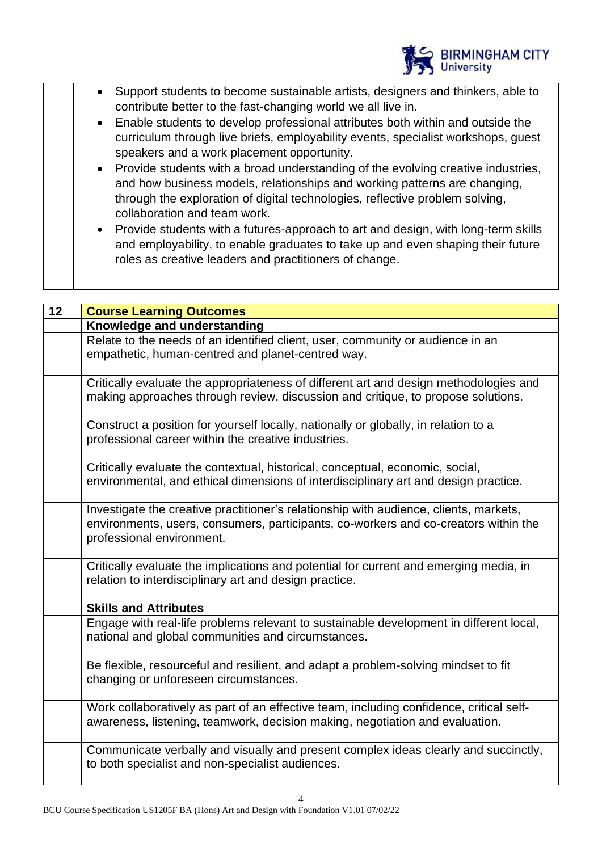

- Support students to become sustainable artists, designers and thinkers, able to contribute better to the fast-changing world we all live in.
- Enable students to develop professional attributes both within and outside the curriculum through live briefs, employability events, specialist workshops, guest speakers and a work placement opportunity.
- Provide students with a broad understanding of the evolving creative industries, and how business models, relationships and working patterns are changing, through the exploration of digital technologies, reflective problem solving, collaboration and team work.
- Provide students with a futures-approach to art and design, with long-term skills and employability, to enable graduates to take up and even shaping their future roles as creative leaders and practitioners of change.

| 12 | <b>Course Learning Outcomes</b>                                                                                                                                                                           |
|----|-----------------------------------------------------------------------------------------------------------------------------------------------------------------------------------------------------------|
|    | Knowledge and understanding                                                                                                                                                                               |
|    | Relate to the needs of an identified client, user, community or audience in an<br>empathetic, human-centred and planet-centred way.                                                                       |
|    | Critically evaluate the appropriateness of different art and design methodologies and<br>making approaches through review, discussion and critique, to propose solutions.                                 |
|    | Construct a position for yourself locally, nationally or globally, in relation to a<br>professional career within the creative industries.                                                                |
|    | Critically evaluate the contextual, historical, conceptual, economic, social,<br>environmental, and ethical dimensions of interdisciplinary art and design practice.                                      |
|    | Investigate the creative practitioner's relationship with audience, clients, markets,<br>environments, users, consumers, participants, co-workers and co-creators within the<br>professional environment. |
|    | Critically evaluate the implications and potential for current and emerging media, in<br>relation to interdisciplinary art and design practice.                                                           |
|    | <b>Skills and Attributes</b>                                                                                                                                                                              |
|    | Engage with real-life problems relevant to sustainable development in different local,<br>national and global communities and circumstances.                                                              |
|    | Be flexible, resourceful and resilient, and adapt a problem-solving mindset to fit<br>changing or unforeseen circumstances.                                                                               |
|    | Work collaboratively as part of an effective team, including confidence, critical self-<br>awareness, listening, teamwork, decision making, negotiation and evaluation.                                   |
|    | Communicate verbally and visually and present complex ideas clearly and succinctly,<br>to both specialist and non-specialist audiences.                                                                   |

4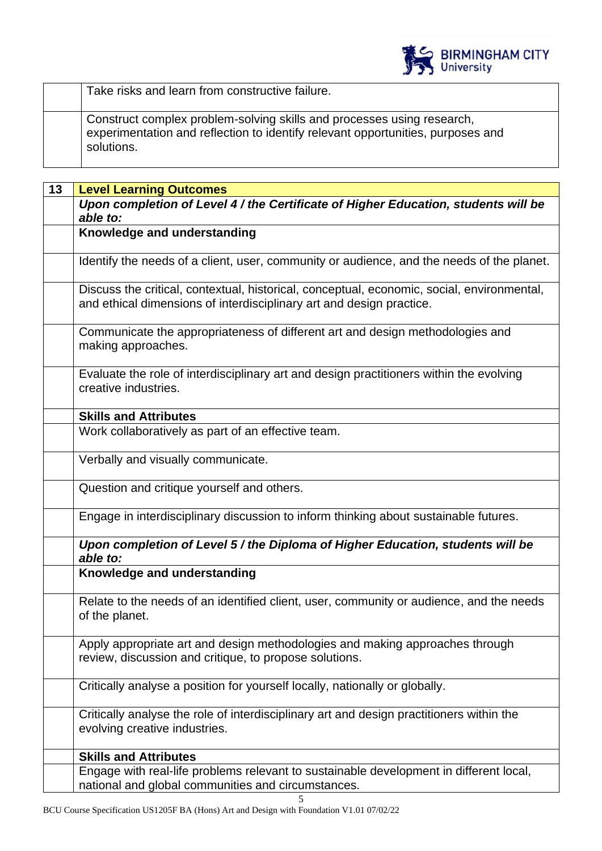

| Take risks and learn from constructive failure.                                                                                                                         |
|-------------------------------------------------------------------------------------------------------------------------------------------------------------------------|
| Construct complex problem-solving skills and processes using research,<br>experimentation and reflection to identify relevant opportunities, purposes and<br>solutions. |

| 13 | <b>Level Learning Outcomes</b>                                                                                                                                     |  |
|----|--------------------------------------------------------------------------------------------------------------------------------------------------------------------|--|
|    | Upon completion of Level 4 / the Certificate of Higher Education, students will be<br>able to:                                                                     |  |
|    | Knowledge and understanding                                                                                                                                        |  |
|    | Identify the needs of a client, user, community or audience, and the needs of the planet.                                                                          |  |
|    | Discuss the critical, contextual, historical, conceptual, economic, social, environmental,<br>and ethical dimensions of interdisciplinary art and design practice. |  |
|    | Communicate the appropriateness of different art and design methodologies and<br>making approaches.                                                                |  |
|    | Evaluate the role of interdisciplinary art and design practitioners within the evolving<br>creative industries.                                                    |  |
|    | <b>Skills and Attributes</b>                                                                                                                                       |  |
|    | Work collaboratively as part of an effective team.                                                                                                                 |  |
|    | Verbally and visually communicate.                                                                                                                                 |  |
|    | Question and critique yourself and others.                                                                                                                         |  |
|    | Engage in interdisciplinary discussion to inform thinking about sustainable futures.                                                                               |  |
|    | Upon completion of Level 5 / the Diploma of Higher Education, students will be<br>able to:                                                                         |  |
|    | Knowledge and understanding                                                                                                                                        |  |
|    | Relate to the needs of an identified client, user, community or audience, and the needs<br>of the planet.                                                          |  |
|    | Apply appropriate art and design methodologies and making approaches through<br>review, discussion and critique, to propose solutions.                             |  |
|    | Critically analyse a position for yourself locally, nationally or globally.                                                                                        |  |
|    | Critically analyse the role of interdisciplinary art and design practitioners within the<br>evolving creative industries.                                          |  |
|    | <b>Skills and Attributes</b>                                                                                                                                       |  |
|    | Engage with real-life problems relevant to sustainable development in different local,<br>national and global communities and circumstances.                       |  |
|    | 5                                                                                                                                                                  |  |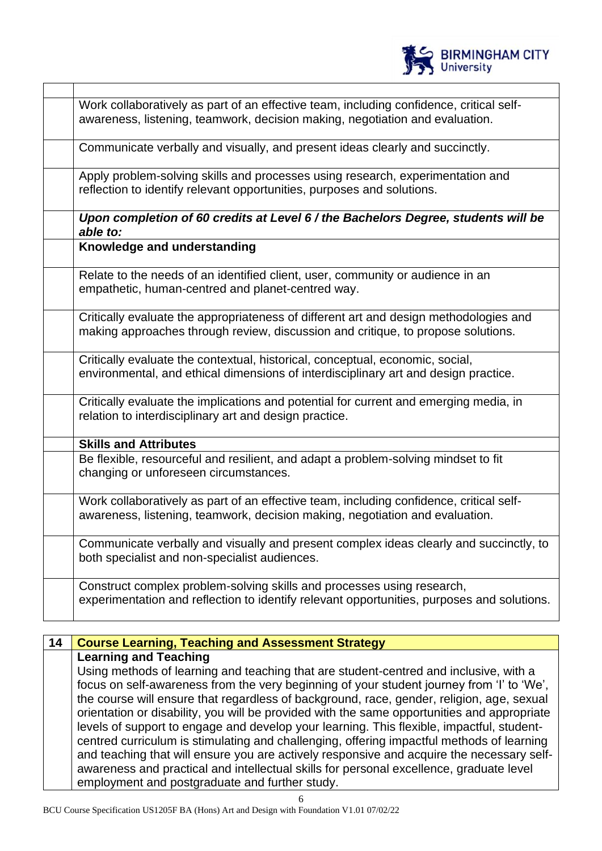| Work collaboratively as part of an effective team, including confidence, critical self-                                                                                   |
|---------------------------------------------------------------------------------------------------------------------------------------------------------------------------|
| awareness, listening, teamwork, decision making, negotiation and evaluation.                                                                                              |
| Communicate verbally and visually, and present ideas clearly and succinctly.                                                                                              |
| Apply problem-solving skills and processes using research, experimentation and<br>reflection to identify relevant opportunities, purposes and solutions.                  |
| Upon completion of 60 credits at Level 6 / the Bachelors Degree, students will be<br>able to:                                                                             |
| Knowledge and understanding                                                                                                                                               |
| Relate to the needs of an identified client, user, community or audience in an<br>empathetic, human-centred and planet-centred way.                                       |
| Critically evaluate the appropriateness of different art and design methodologies and<br>making approaches through review, discussion and critique, to propose solutions. |
| Critically evaluate the contextual, historical, conceptual, economic, social,<br>environmental, and ethical dimensions of interdisciplinary art and design practice.      |
| Critically evaluate the implications and potential for current and emerging media, in<br>relation to interdisciplinary art and design practice.                           |
| <b>Skills and Attributes</b>                                                                                                                                              |
| Be flexible, resourceful and resilient, and adapt a problem-solving mindset to fit<br>changing or unforeseen circumstances.                                               |
| Work collaboratively as part of an effective team, including confidence, critical self-<br>awareness, listening, teamwork, decision making, negotiation and evaluation.   |
| Communicate verbally and visually and present complex ideas clearly and succinctly, to<br>both specialist and non-specialist audiences.                                   |
| Construct complex problem-solving skills and processes using research,<br>experimentation and reflection to identify relevant opportunities, purposes and solutions.      |

BIRMINGHAM CITY

## **14 Course Learning, Teaching and Assessment Strategy**

**Learning and Teaching** Using methods of learning and teaching that are student-centred and inclusive, with a focus on self-awareness from the very beginning of your student journey from 'I' to 'We', the course will ensure that regardless of background, race, gender, religion, age, sexual orientation or disability, you will be provided with the same opportunities and appropriate levels of support to engage and develop your learning. This flexible, impactful, studentcentred curriculum is stimulating and challenging, offering impactful methods of learning and teaching that will ensure you are actively responsive and acquire the necessary selfawareness and practical and intellectual skills for personal excellence, graduate level employment and postgraduate and further study.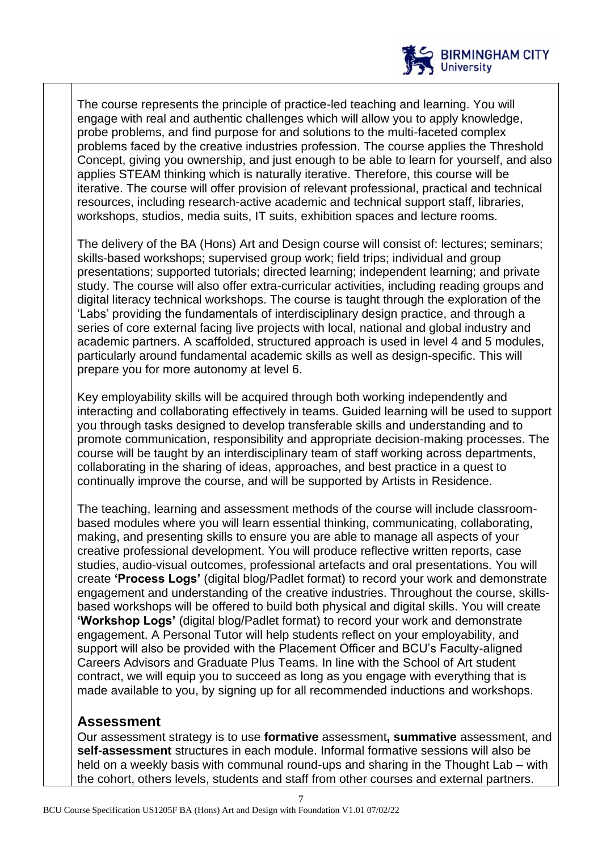

The course represents the principle of practice-led teaching and learning. You will engage with real and authentic challenges which will allow you to apply knowledge. probe problems, and find purpose for and solutions to the multi-faceted complex problems faced by the creative industries profession. The course applies the Threshold Concept, giving you ownership, and just enough to be able to learn for yourself, and also applies STEAM thinking which is naturally iterative. Therefore, this course will be iterative. The course will offer provision of relevant professional, practical and technical resources, including research-active academic and technical support staff, libraries, workshops, studios, media suits, IT suits, exhibition spaces and lecture rooms.

The delivery of the BA (Hons) Art and Design course will consist of: lectures; seminars; skills-based workshops; supervised group work; field trips; individual and group presentations; supported tutorials; directed learning; independent learning; and private study. The course will also offer extra-curricular activities, including reading groups and digital literacy technical workshops. The course is taught through the exploration of the 'Labs' providing the fundamentals of interdisciplinary design practice, and through a series of core external facing live projects with local, national and global industry and academic partners. A scaffolded, structured approach is used in level 4 and 5 modules, particularly around fundamental academic skills as well as design-specific. This will prepare you for more autonomy at level 6.

Key employability skills will be acquired through both working independently and interacting and collaborating effectively in teams. Guided learning will be used to support you through tasks designed to develop transferable skills and understanding and to promote communication, responsibility and appropriate decision-making processes. The course will be taught by an interdisciplinary team of staff working across departments, collaborating in the sharing of ideas, approaches, and best practice in a quest to continually improve the course, and will be supported by Artists in Residence.

The teaching, learning and assessment methods of the course will include classroombased modules where you will learn essential thinking, communicating, collaborating, making, and presenting skills to ensure you are able to manage all aspects of your creative professional development. You will produce reflective written reports, case studies, audio-visual outcomes, professional artefacts and oral presentations. You will create **'Process Logs'** (digital blog/Padlet format) to record your work and demonstrate engagement and understanding of the creative industries. Throughout the course, skillsbased workshops will be offered to build both physical and digital skills. You will create **'Workshop Logs'** (digital blog/Padlet format) to record your work and demonstrate engagement. A Personal Tutor will help students reflect on your employability, and support will also be provided with the Placement Officer and BCU's Faculty-aligned Careers Advisors and Graduate Plus Teams. In line with the School of Art student contract, we will equip you to succeed as long as you engage with everything that is made available to you, by signing up for all recommended inductions and workshops.

## **Assessment**

Our assessment strategy is to use **formative** assessment**, summative** assessment, and **self-assessment** structures in each module. Informal formative sessions will also be held on a weekly basis with communal round-ups and sharing in the Thought Lab – with the cohort, others levels, students and staff from other courses and external partners.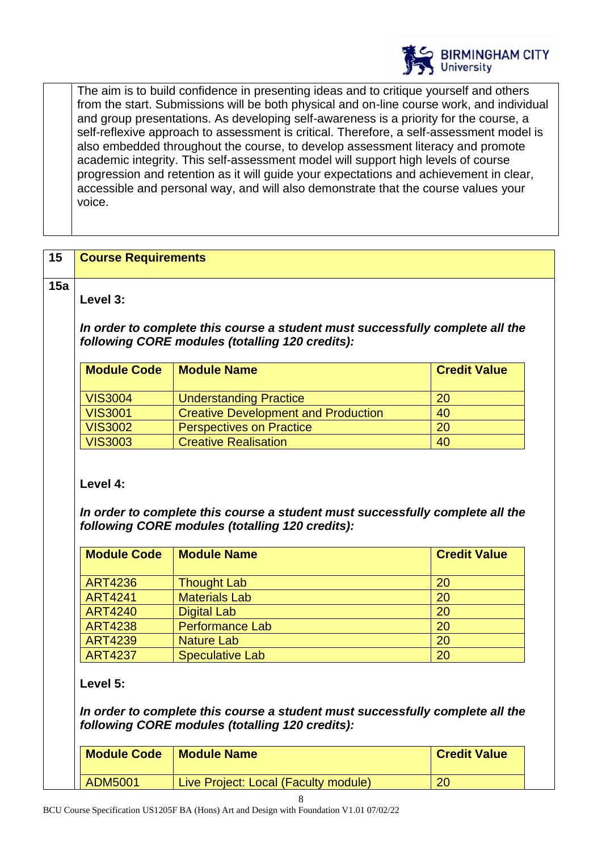

The aim is to build confidence in presenting ideas and to critique yourself and others from the start. Submissions will be both physical and on-line course work, and individual and group presentations. As developing self-awareness is a priority for the course, a self-reflexive approach to assessment is critical. Therefore, a self-assessment model is also embedded throughout the course, to develop assessment literacy and promote academic integrity. This self-assessment model will support high levels of course progression and retention as it will guide your expectations and achievement in clear, accessible and personal way, and will also demonstrate that the course values your voice.

## **15 Course Requirements**

**15a**

**Level 3:**

*In order to complete this course a student must successfully complete all the following CORE modules (totalling 120 credits):*

| <b>Module Code</b> | <b>Module Name</b>                         | <b>Credit Value</b> |
|--------------------|--------------------------------------------|---------------------|
| <b>VIS3004</b>     | <b>Understanding Practice</b>              | 20                  |
| <b>VIS3001</b>     | <b>Creative Development and Production</b> | 40                  |
| <b>VIS3002</b>     | <b>Perspectives on Practice</b>            | 20                  |
| <b>VIS3003</b>     | <b>Creative Realisation</b>                | 40                  |

## **Level 4:**

*In order to complete this course a student must successfully complete all the following CORE modules (totalling 120 credits):*

| <b>Module Code</b> | <b>Module Name</b>     | <b>Credit Value</b> |
|--------------------|------------------------|---------------------|
| <b>ART4236</b>     | <b>Thought Lab</b>     | 20                  |
| <b>ART4241</b>     | <b>Materials Lab</b>   | 20                  |
| <b>ART4240</b>     | <b>Digital Lab</b>     | 20                  |
| <b>ART4238</b>     | <b>Performance Lab</b> | 20                  |
| <b>ART4239</b>     | <b>Nature Lab</b>      | 20                  |
| <b>ART4237</b>     | <b>Speculative Lab</b> | 20                  |

**Level 5:**

*In order to complete this course a student must successfully complete all the following CORE modules (totalling 120 credits):*

| <b>Module Code</b> | <b>Module Name</b>                   | <b>Credit Value</b> |
|--------------------|--------------------------------------|---------------------|
| ADM5001            | Live Project: Local (Faculty module) | 20                  |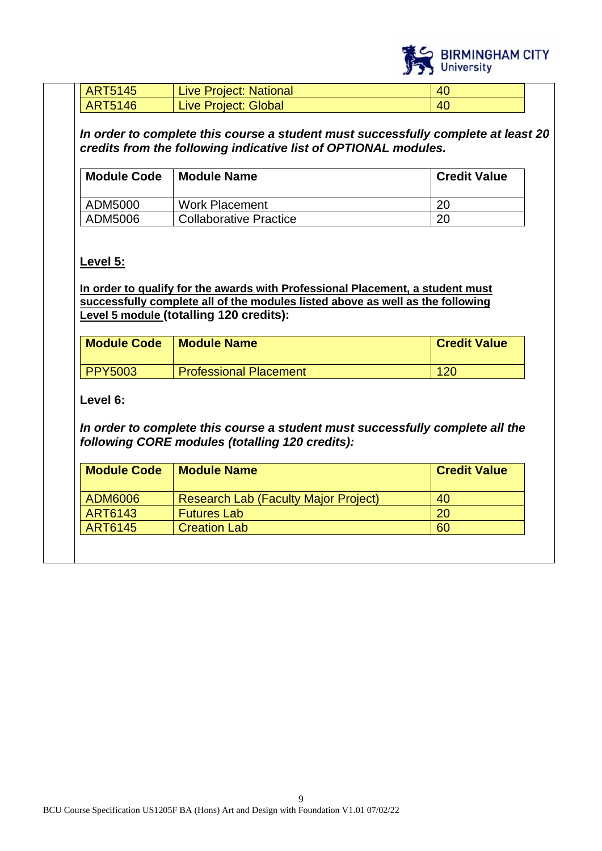

| <b>ART5145</b> | <b>Live Project: National</b> | 40             |
|----------------|-------------------------------|----------------|
| <b>ART5146</b> | <b>Live Project: Global</b>   | 4 <sup>C</sup> |

*In order to complete this course a student must successfully complete at least 20 credits from the following indicative list of OPTIONAL modules.* 

| <b>Module Code</b> | <b>Module Name</b>            | <b>Credit Value</b> |
|--------------------|-------------------------------|---------------------|
| ADM5000            | <b>Work Placement</b>         | 20                  |
| ADM5006            | <b>Collaborative Practice</b> | 20                  |

## **Level 5:**

**In order to qualify for the awards with Professional Placement, a student must successfully complete all of the modules listed above as well as the following Level 5 module (totalling 120 credits):**

| <b>Module Code</b> | <b>Module Name</b>            | <b>Credit Value</b> |
|--------------------|-------------------------------|---------------------|
| <b>PPY5003</b>     | <b>Professional Placement</b> | 120                 |

## **Level 6:**

*In order to complete this course a student must successfully complete all the following CORE modules (totalling 120 credits):*

| <b>Module Code</b> | <b>Module Name</b>                          | <b>Credit Value</b> |
|--------------------|---------------------------------------------|---------------------|
| ADM6006            | <b>Research Lab (Faculty Major Project)</b> | 40                  |
| ART6143            | <b>Futures Lab</b>                          | 20                  |
| ART6145            | <b>Creation Lab</b>                         | 60                  |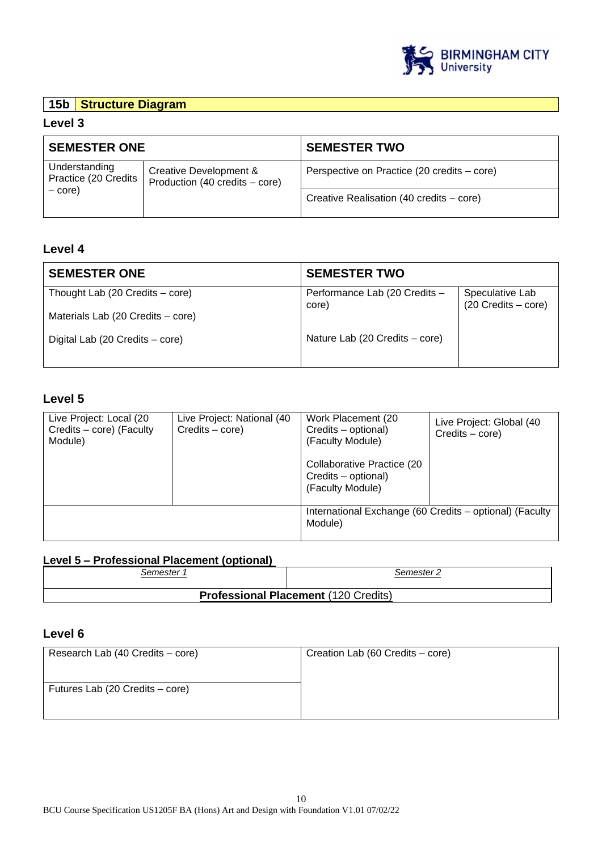

## **15b Structure Diagram**

#### **Level 3**

| <b>SEMESTER ONE</b>                                                                                          |                                             | <b>SEMESTER TWO</b>                      |
|--------------------------------------------------------------------------------------------------------------|---------------------------------------------|------------------------------------------|
| Understanding<br>Creative Development &<br>Practice (20 Credits<br>Production (40 credits – core)<br>$-core$ | Perspective on Practice (20 credits – core) |                                          |
|                                                                                                              |                                             | Creative Realisation (40 credits – core) |

#### **Level 4**

| <b>SEMESTER ONE</b>               | <b>SEMESTER TWO</b>                    |                                        |
|-----------------------------------|----------------------------------------|----------------------------------------|
| Thought Lab (20 Credits – core)   | Performance Lab (20 Credits -<br>core) | Speculative Lab<br>(20 Credits - core) |
| Materials Lab (20 Credits – core) |                                        |                                        |
| Digital Lab (20 Credits – core)   | Nature Lab (20 Credits – core)         |                                        |
|                                   |                                        |                                        |

#### **Level 5**

| Live Project: Local (20<br>Credits - core) (Faculty<br>Module) | Live Project: National (40<br>Credits – core) | Work Placement (20)<br>Credits - optional)<br>(Faculty Module)<br>Collaborative Practice (20<br>Credits - optional)<br>(Faculty Module) | Live Project: Global (40<br>$C$ redits $-$ core) |
|----------------------------------------------------------------|-----------------------------------------------|-----------------------------------------------------------------------------------------------------------------------------------------|--------------------------------------------------|
|                                                                |                                               | International Exchange (60 Credits - optional) (Faculty<br>Module)                                                                      |                                                  |

## **Level 5 – Professional Placement (optional)**

| : emester۔ | ∴emester.                                   |
|------------|---------------------------------------------|
|            | <b>Professional Placement (120 Credits)</b> |

#### **Level 6**

| Research Lab (40 Credits – core) | Creation Lab (60 Credits – core) |
|----------------------------------|----------------------------------|
|                                  |                                  |
| Futures Lab (20 Credits – core)  |                                  |
|                                  |                                  |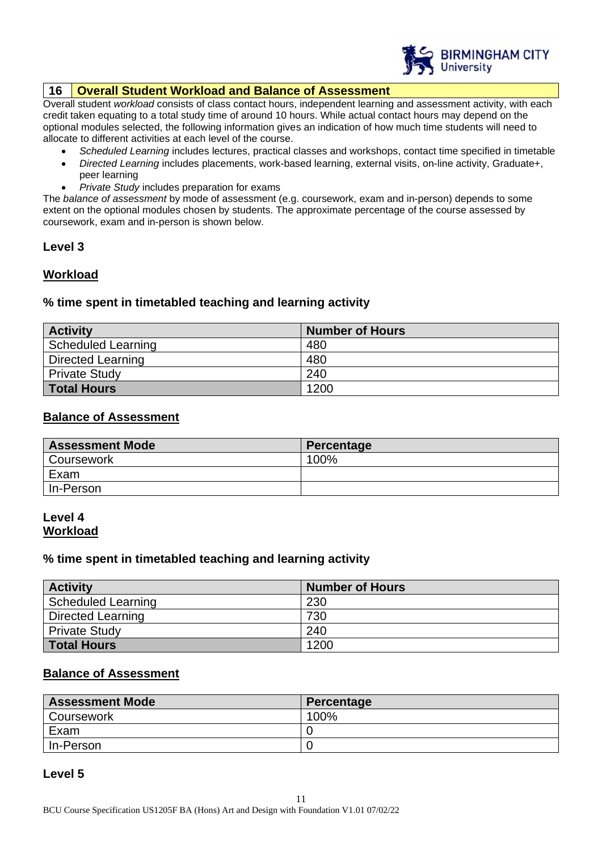

#### **16 Overall Student Workload and Balance of Assessment**

Overall student *workload* consists of class contact hours, independent learning and assessment activity, with each credit taken equating to a total study time of around 10 hours. While actual contact hours may depend on the optional modules selected, the following information gives an indication of how much time students will need to allocate to different activities at each level of the course.

- *Scheduled Learning* includes lectures, practical classes and workshops, contact time specified in timetable
- *Directed Learning* includes placements, work-based learning, external visits, on-line activity, Graduate+, peer learning
- *Private Study* includes preparation for exams

The *balance of assessment* by mode of assessment (e.g. coursework, exam and in-person) depends to some extent on the optional modules chosen by students. The approximate percentage of the course assessed by coursework, exam and in-person is shown below.

#### **Level 3**

#### **Workload**

#### **% time spent in timetabled teaching and learning activity**

| <b>Activity</b>           | <b>Number of Hours</b> |
|---------------------------|------------------------|
| <b>Scheduled Learning</b> | 480                    |
| Directed Learning         | 480                    |
| <b>Private Study</b>      | 240                    |
| Total Hours               | 1200                   |

#### **Balance of Assessment**

| <b>Assessment Mode</b> | Percentage |
|------------------------|------------|
| <b>Coursework</b>      | 100%       |
| Exam                   |            |
| In-Person              |            |

#### **Level 4 Workload**

#### **% time spent in timetabled teaching and learning activity**

| <b>Activity</b>          | <b>Number of Hours</b> |
|--------------------------|------------------------|
| Scheduled Learning       | 230                    |
| <b>Directed Learning</b> | 730                    |
| <b>Private Study</b>     | 240                    |
| <b>Total Hours</b>       | 1200                   |

#### **Balance of Assessment**

| <b>Assessment Mode</b> | Percentage |
|------------------------|------------|
| Coursework             | 100%       |
| Exam                   |            |
| In-Person              |            |

#### **Level 5**